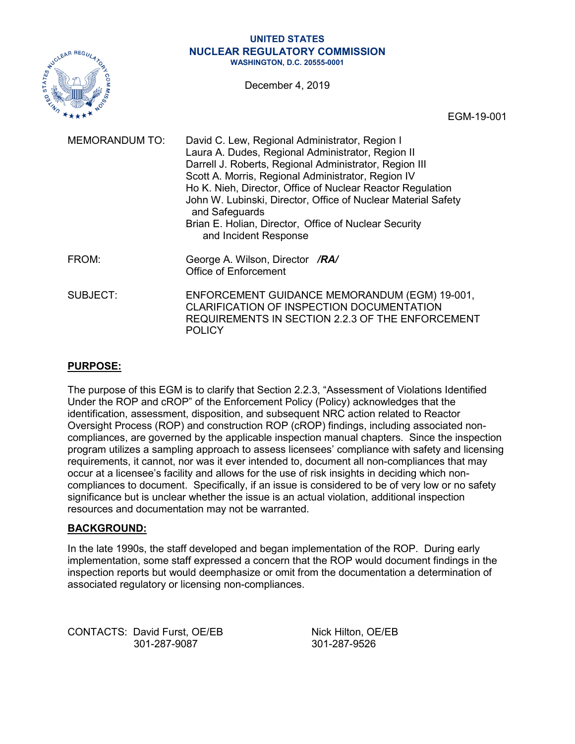#### **UNITED STATES NUCLEAR REGULATORY COMMISSION WASHINGTON, D.C. 20555-0001**

December 4, 2019



EGM-19-001

| <b>MEMORANDUM TO:</b> | David C. Lew, Regional Administrator, Region I<br>Laura A. Dudes, Regional Administrator, Region II<br>Darrell J. Roberts, Regional Administrator, Region III<br>Scott A. Morris, Regional Administrator, Region IV<br>Ho K. Nieh, Director, Office of Nuclear Reactor Regulation<br>John W. Lubinski, Director, Office of Nuclear Material Safety<br>and Safeguards<br>Brian E. Holian, Director, Office of Nuclear Security<br>and Incident Response |
|-----------------------|--------------------------------------------------------------------------------------------------------------------------------------------------------------------------------------------------------------------------------------------------------------------------------------------------------------------------------------------------------------------------------------------------------------------------------------------------------|
| FROM:                 | George A. Wilson, Director /RA/<br><b>Office of Enforcement</b>                                                                                                                                                                                                                                                                                                                                                                                        |
| <b>SUBJECT:</b>       | ENFORCEMENT GUIDANCE MEMORANDUM (EGM) 19-001,<br>CLARIFICATION OF INSPECTION DOCUMENTATION<br>REQUIREMENTS IN SECTION 2.2.3 OF THE ENFORCEMENT<br><b>POLICY</b>                                                                                                                                                                                                                                                                                        |

#### **PURPOSE:**

The purpose of this EGM is to clarify that Section 2.2.3, "Assessment of Violations Identified Under the ROP and cROP" of the Enforcement Policy (Policy) acknowledges that the identification, assessment, disposition, and subsequent NRC action related to Reactor Oversight Process (ROP) and construction ROP (cROP) findings, including associated noncompliances, are governed by the applicable inspection manual chapters. Since the inspection program utilizes a sampling approach to assess licensees' compliance with safety and licensing requirements, it cannot, nor was it ever intended to, document all non-compliances that may occur at a licensee's facility and allows for the use of risk insights in deciding which noncompliances to document. Specifically, if an issue is considered to be of very low or no safety significance but is unclear whether the issue is an actual violation, additional inspection resources and documentation may not be warranted.

#### **BACKGROUND:**

In the late 1990s, the staff developed and began implementation of the ROP. During early implementation, some staff expressed a concern that the ROP would document findings in the inspection reports but would deemphasize or omit from the documentation a determination of associated regulatory or licensing non-compliances.

CONTACTS: David Furst, OE/EB Nick Hilton, OE/EB 301-287-9087 301-287-9526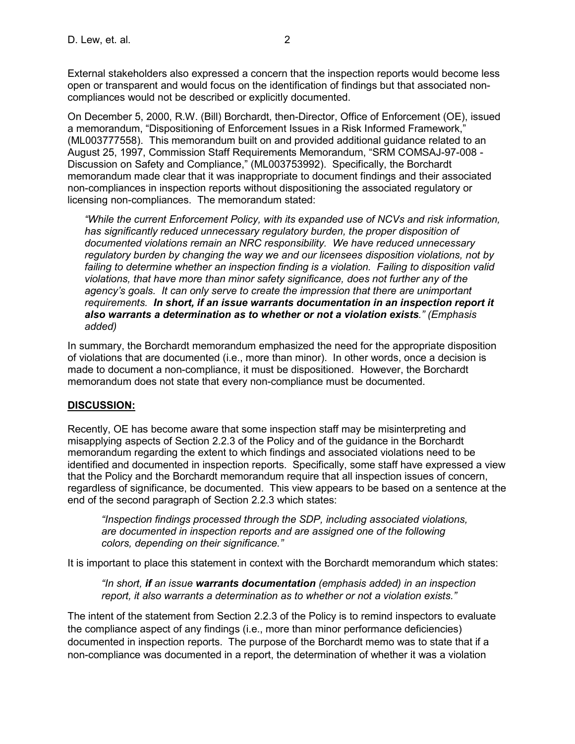External stakeholders also expressed a concern that the inspection reports would become less open or transparent and would focus on the identification of findings but that associated noncompliances would not be described or explicitly documented.

On December 5, 2000, R.W. (Bill) Borchardt, then-Director, Office of Enforcement (OE), issued a memorandum, "Dispositioning of Enforcement Issues in a Risk Informed Framework," (ML003777558). This memorandum built on and provided additional guidance related to an August 25, 1997, Commission Staff Requirements Memorandum, "SRM COMSAJ-97-008 - Discussion on Safety and Compliance," (ML003753992). Specifically, the Borchardt memorandum made clear that it was inappropriate to document findings and their associated non-compliances in inspection reports without dispositioning the associated regulatory or licensing non-compliances. The memorandum stated:

*"While the current Enforcement Policy, with its expanded use of NCVs and risk information, has significantly reduced unnecessary regulatory burden, the proper disposition of documented violations remain an NRC responsibility. We have reduced unnecessary regulatory burden by changing the way we and our licensees disposition violations, not by failing to determine whether an inspection finding is a violation. Failing to disposition valid violations, that have more than minor safety significance, does not further any of the agency's goals. It can only serve to create the impression that there are unimportant requirements. In short, if an issue warrants documentation in an inspection report it also warrants a determination as to whether or not a violation exists." (Emphasis added)*

In summary, the Borchardt memorandum emphasized the need for the appropriate disposition of violations that are documented (i.e., more than minor). In other words, once a decision is made to document a non-compliance, it must be dispositioned. However, the Borchardt memorandum does not state that every non-compliance must be documented.

### **DISCUSSION:**

Recently, OE has become aware that some inspection staff may be misinterpreting and misapplying aspects of Section 2.2.3 of the Policy and of the guidance in the Borchardt memorandum regarding the extent to which findings and associated violations need to be identified and documented in inspection reports. Specifically, some staff have expressed a view that the Policy and the Borchardt memorandum require that all inspection issues of concern, regardless of significance, be documented. This view appears to be based on a sentence at the end of the second paragraph of Section 2.2.3 which states:

*"Inspection findings processed through the SDP, including associated violations, are documented in inspection reports and are assigned one of the following colors, depending on their significance."* 

It is important to place this statement in context with the Borchardt memorandum which states:

*"In short, if an issue warrants documentation (emphasis added) in an inspection report, it also warrants a determination as to whether or not a violation exists."* 

The intent of the statement from Section 2.2.3 of the Policy is to remind inspectors to evaluate the compliance aspect of any findings (i.e., more than minor performance deficiencies) documented in inspection reports. The purpose of the Borchardt memo was to state that if a non-compliance was documented in a report, the determination of whether it was a violation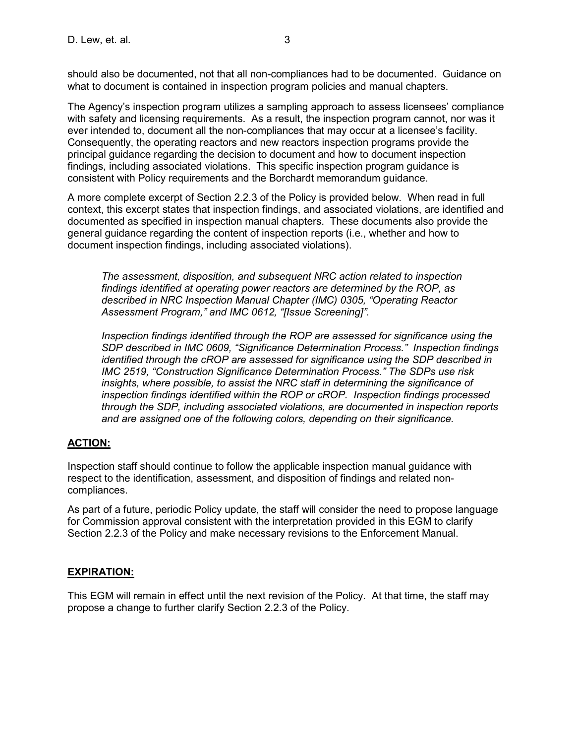should also be documented, not that all non-compliances had to be documented. Guidance on what to document is contained in inspection program policies and manual chapters.

The Agency's inspection program utilizes a sampling approach to assess licensees' compliance with safety and licensing requirements. As a result, the inspection program cannot, nor was it ever intended to, document all the non-compliances that may occur at a licensee's facility. Consequently, the operating reactors and new reactors inspection programs provide the principal guidance regarding the decision to document and how to document inspection findings, including associated violations. This specific inspection program guidance is consistent with Policy requirements and the Borchardt memorandum guidance.

A more complete excerpt of Section 2.2.3 of the Policy is provided below. When read in full context, this excerpt states that inspection findings, and associated violations, are identified and documented as specified in inspection manual chapters. These documents also provide the general guidance regarding the content of inspection reports (i.e., whether and how to document inspection findings, including associated violations).

*The assessment, disposition, and subsequent NRC action related to inspection findings identified at operating power reactors are determined by the ROP, as described in NRC Inspection Manual Chapter (IMC) 0305, "Operating Reactor Assessment Program," and IMC 0612, "[Issue Screening]".*

*Inspection findings identified through the ROP are assessed for significance using the SDP described in IMC 0609, "Significance Determination Process." Inspection findings identified through the cROP are assessed for significance using the SDP described in IMC 2519, "Construction Significance Determination Process." The SDPs use risk insights, where possible, to assist the NRC staff in determining the significance of inspection findings identified within the ROP or cROP. Inspection findings processed through the SDP, including associated violations, are documented in inspection reports and are assigned one of the following colors, depending on their significance.*

### **ACTION:**

Inspection staff should continue to follow the applicable inspection manual guidance with respect to the identification, assessment, and disposition of findings and related noncompliances.

As part of a future, periodic Policy update, the staff will consider the need to propose language for Commission approval consistent with the interpretation provided in this EGM to clarify Section 2.2.3 of the Policy and make necessary revisions to the Enforcement Manual.

#### **EXPIRATION:**

This EGM will remain in effect until the next revision of the Policy. At that time, the staff may propose a change to further clarify Section 2.2.3 of the Policy.